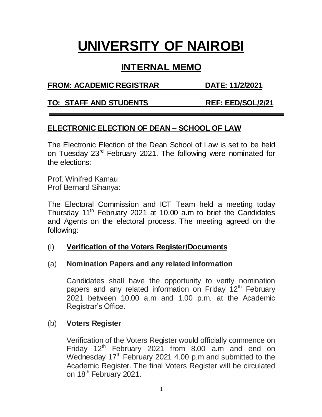# **UNIVERSITY OF NAIROBI**

# **INTERNAL MEMO**

### **FROM: ACADEMIC REGISTRAR DATE: 11/2/2021**

#### **TO: STAFF AND STUDENTS REF: EED/SOL/2/21**

#### **ELECTRONIC ELECTION OF DEAN – SCHOOL OF LAW**

The Electronic Election of the Dean School of Law is set to be held on Tuesday 23rd February 2021. The following were nominated for the elections:

Prof. Winifred Kamau Prof Bernard Sihanya:

The Electoral Commission and ICT Team held a meeting today Thursday 11<sup>th</sup> February 2021 at 10.00 a.m to brief the Candidates and Agents on the electoral process. The meeting agreed on the following:

#### (i) **Verification of the Voters Register/Documents**

#### (a) **Nomination Papers and any related information**

Candidates shall have the opportunity to verify nomination papers and any related information on Friday 12<sup>th</sup> February 2021 between 10.00 a.m and 1.00 p.m. at the Academic Registrar's Office.

#### (b) **Voters Register**

Verification of the Voters Register would officially commence on Friday  $12<sup>th</sup>$  February 2021 from 8.00 a.m and end on Wednesday  $17<sup>th</sup>$  February 2021 4.00 p.m and submitted to the Academic Register. The final Voters Register will be circulated on 18<sup>th</sup> February 2021.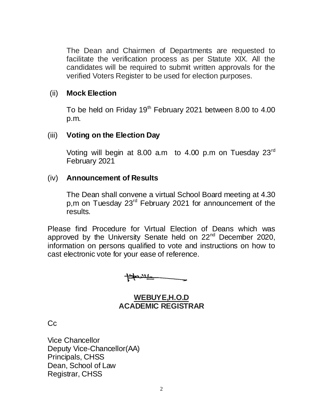The Dean and Chairmen of Departments are requested to facilitate the verification process as per Statute XIX. All the candidates will be required to submit written approvals for the verified Voters Register to be used for election purposes.

#### (ii) **Mock Election**

To be held on Friday  $19<sup>th</sup>$  February 2021 between 8.00 to 4.00 p.m.

#### (iii) **Voting on the Election Day**

Voting will begin at 8.00 a.m to 4.00 p.m on Tuesday  $23<sup>rd</sup>$ February 2021

#### (iv) **Announcement of Results**

The Dean shall convene a virtual School Board meeting at 4.30 p,m on Tuesday 23<sup>rd</sup> February 2021 for announcement of the results.

Please find Procedure for Virtual Election of Deans which was approved by the University Senate held on 22<sup>nd</sup> December 2020, information on persons qualified to vote and instructions on how to cast electronic vote for your ease of reference.



## **WEBUYE,H.O.D ACADEMIC REGISTRAR**

Cc

Vice Chancellor Deputy Vice-Chancellor(AA) Principals, CHSS Dean, School of Law Registrar, CHSS